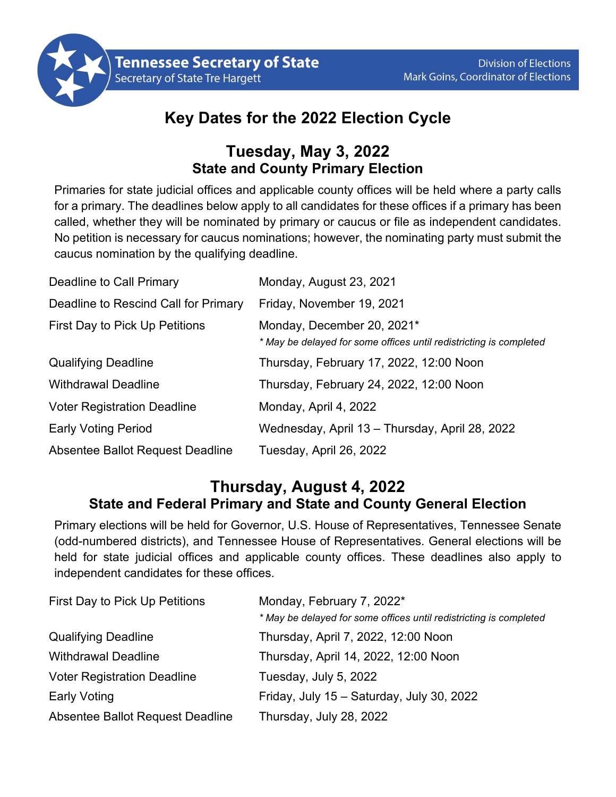

## **Key Dates for the 2022 Election Cycle**

## **Tuesday, May 3, 2022 State and County Primary Election**

Primaries for state judicial offices and applicable county offices will be held where a party calls for a primary. The deadlines below apply to all candidates for these offices if a primary has been called, whether they will be nominated by primary or caucus or file as independent candidates. No petition is necessary for caucus nominations; however, the nominating party must submit the caucus nomination by the qualifying deadline.

| Deadline to Call Primary             | Monday, August 23, 2021                                                                          |
|--------------------------------------|--------------------------------------------------------------------------------------------------|
| Deadline to Rescind Call for Primary | Friday, November 19, 2021                                                                        |
| First Day to Pick Up Petitions       | Monday, December 20, 2021*<br>* May be delayed for some offices until redistricting is completed |
| <b>Qualifying Deadline</b>           | Thursday, February 17, 2022, 12:00 Noon                                                          |
| <b>Withdrawal Deadline</b>           | Thursday, February 24, 2022, 12:00 Noon                                                          |
| <b>Voter Registration Deadline</b>   | Monday, April 4, 2022                                                                            |
| <b>Early Voting Period</b>           | Wednesday, April 13 - Thursday, April 28, 2022                                                   |
| Absentee Ballot Request Deadline     | Tuesday, April 26, 2022                                                                          |

## **Thursday, August 4, 2022 State and Federal Primary and State and County General Election**

Primary elections will be held for Governor, U.S. House of Representatives, Tennessee Senate (odd-numbered districts), and Tennessee House of Representatives. General elections will be held for state judicial offices and applicable county offices. These deadlines also apply to independent candidates for these offices.

| First Day to Pick Up Petitions     | Monday, February 7, 2022*                                          |
|------------------------------------|--------------------------------------------------------------------|
|                                    | * May be delayed for some offices until redistricting is completed |
| <b>Qualifying Deadline</b>         | Thursday, April 7, 2022, 12:00 Noon                                |
| <b>Withdrawal Deadline</b>         | Thursday, April 14, 2022, 12:00 Noon                               |
| <b>Voter Registration Deadline</b> | Tuesday, July 5, 2022                                              |
| <b>Early Voting</b>                | Friday, July 15 - Saturday, July 30, 2022                          |
| Absentee Ballot Request Deadline   | Thursday, July 28, 2022                                            |